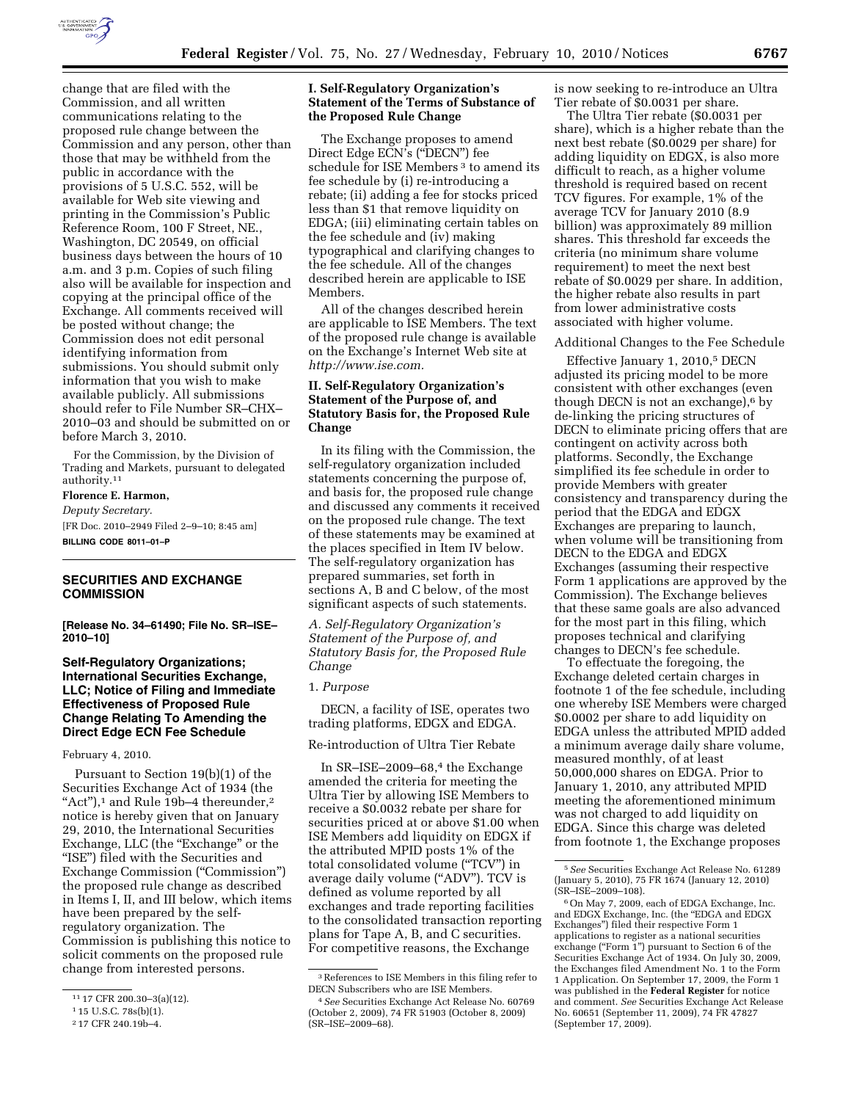

change that are filed with the Commission, and all written communications relating to the proposed rule change between the Commission and any person, other than those that may be withheld from the public in accordance with the provisions of 5 U.S.C. 552, will be available for Web site viewing and printing in the Commission's Public Reference Room, 100 F Street, NE., Washington, DC 20549, on official business days between the hours of 10 a.m. and 3 p.m. Copies of such filing also will be available for inspection and copying at the principal office of the Exchange. All comments received will be posted without change; the Commission does not edit personal identifying information from submissions. You should submit only information that you wish to make available publicly. All submissions should refer to File Number SR–CHX– 2010–03 and should be submitted on or before March 3, 2010.

For the Commission, by the Division of Trading and Markets, pursuant to delegated authority.11

# **Florence E. Harmon,**

*Deputy Secretary.*  [FR Doc. 2010–2949 Filed 2–9–10; 8:45 am] **BILLING CODE 8011–01–P** 

# **SECURITIES AND EXCHANGE COMMISSION**

**[Release No. 34–61490; File No. SR–ISE– 2010–10]** 

# **Self-Regulatory Organizations; International Securities Exchange, LLC; Notice of Filing and Immediate Effectiveness of Proposed Rule Change Relating To Amending the Direct Edge ECN Fee Schedule**

February 4, 2010.

Pursuant to Section 19(b)(1) of the Securities Exchange Act of 1934 (the "Act"),<sup>1</sup> and Rule 19b-4 thereunder,<sup>2</sup> notice is hereby given that on January 29, 2010, the International Securities Exchange, LLC (the "Exchange" or the ''ISE'') filed with the Securities and Exchange Commission (''Commission'') the proposed rule change as described in Items I, II, and III below, which items have been prepared by the selfregulatory organization. The Commission is publishing this notice to solicit comments on the proposed rule change from interested persons.

# **I. Self-Regulatory Organization's Statement of the Terms of Substance of the Proposed Rule Change**

The Exchange proposes to amend Direct Edge ECN's (''DECN'') fee schedule for ISE Members<sup>3</sup> to amend its fee schedule by (i) re-introducing a rebate; (ii) adding a fee for stocks priced less than \$1 that remove liquidity on EDGA; (iii) eliminating certain tables on the fee schedule and (iv) making typographical and clarifying changes to the fee schedule. All of the changes described herein are applicable to ISE Members.

All of the changes described herein are applicable to ISE Members. The text of the proposed rule change is available on the Exchange's Internet Web site at *http://www.ise.com.* 

# **II. Self-Regulatory Organization's Statement of the Purpose of, and Statutory Basis for, the Proposed Rule Change**

In its filing with the Commission, the self-regulatory organization included statements concerning the purpose of, and basis for, the proposed rule change and discussed any comments it received on the proposed rule change. The text of these statements may be examined at the places specified in Item IV below. The self-regulatory organization has prepared summaries, set forth in sections A, B and C below, of the most significant aspects of such statements.

*A. Self-Regulatory Organization's Statement of the Purpose of, and Statutory Basis for, the Proposed Rule Change* 

## 1. *Purpose*

DECN, a facility of ISE, operates two trading platforms, EDGX and EDGA.

Re-introduction of Ultra Tier Rebate

In SR–ISE–2009–68,4 the Exchange amended the criteria for meeting the Ultra Tier by allowing ISE Members to receive a \$0.0032 rebate per share for securities priced at or above \$1.00 when ISE Members add liquidity on EDGX if the attributed MPID posts 1% of the total consolidated volume (''TCV'') in average daily volume ("ADV"). TCV is defined as volume reported by all exchanges and trade reporting facilities to the consolidated transaction reporting plans for Tape A, B, and C securities. For competitive reasons, the Exchange

is now seeking to re-introduce an Ultra Tier rebate of \$0.0031 per share.

The Ultra Tier rebate (\$0.0031 per share), which is a higher rebate than the next best rebate (\$0.0029 per share) for adding liquidity on EDGX, is also more difficult to reach, as a higher volume threshold is required based on recent TCV figures. For example, 1% of the average TCV for January 2010 (8.9 billion) was approximately 89 million shares. This threshold far exceeds the criteria (no minimum share volume requirement) to meet the next best rebate of \$0.0029 per share. In addition, the higher rebate also results in part from lower administrative costs associated with higher volume.

#### Additional Changes to the Fee Schedule

Effective January 1, 2010,5 DECN adjusted its pricing model to be more consistent with other exchanges (even though DECN is not an exchange), $6$  by de-linking the pricing structures of DECN to eliminate pricing offers that are contingent on activity across both platforms. Secondly, the Exchange simplified its fee schedule in order to provide Members with greater consistency and transparency during the period that the EDGA and EDGX Exchanges are preparing to launch, when volume will be transitioning from DECN to the EDGA and EDGX Exchanges (assuming their respective Form 1 applications are approved by the Commission). The Exchange believes that these same goals are also advanced for the most part in this filing, which proposes technical and clarifying changes to DECN's fee schedule.

To effectuate the foregoing, the Exchange deleted certain charges in footnote 1 of the fee schedule, including one whereby ISE Members were charged \$0.0002 per share to add liquidity on EDGA unless the attributed MPID added a minimum average daily share volume, measured monthly, of at least 50,000,000 shares on EDGA. Prior to January 1, 2010, any attributed MPID meeting the aforementioned minimum was not charged to add liquidity on EDGA. Since this charge was deleted from footnote 1, the Exchange proposes

<sup>11</sup> 17 CFR 200.30–3(a)(12).

<sup>1</sup> 15 U.S.C. 78s(b)(1).

<sup>2</sup> 17 CFR 240.19b–4.

<sup>3</sup>References to ISE Members in this filing refer to DECN Subscribers who are ISE Members.

<sup>4</sup>*See* Securities Exchange Act Release No. 60769 (October 2, 2009), 74 FR 51903 (October 8, 2009) (SR–ISE–2009–68).

<sup>5</sup>*See* Securities Exchange Act Release No. 61289 (January 5, 2010), 75 FR 1674 (January 12, 2010)

<sup>&</sup>lt;sup>6</sup> On May 7, 2009, each of EDGA Exchange, Inc. and EDGX Exchange, Inc. (the "EDGA and EDGX Exchanges'') filed their respective Form 1 applications to register as a national securities exchange ("Form 1") pursuant to Section 6 of the Securities Exchange Act of 1934. On July 30, 2009, the Exchanges filed Amendment No. 1 to the Form 1 Application. On September 17, 2009, the Form 1 was published in the **Federal Register** for notice and comment. *See* Securities Exchange Act Release No. 60651 (September 11, 2009), 74 FR 47827 (September 17, 2009).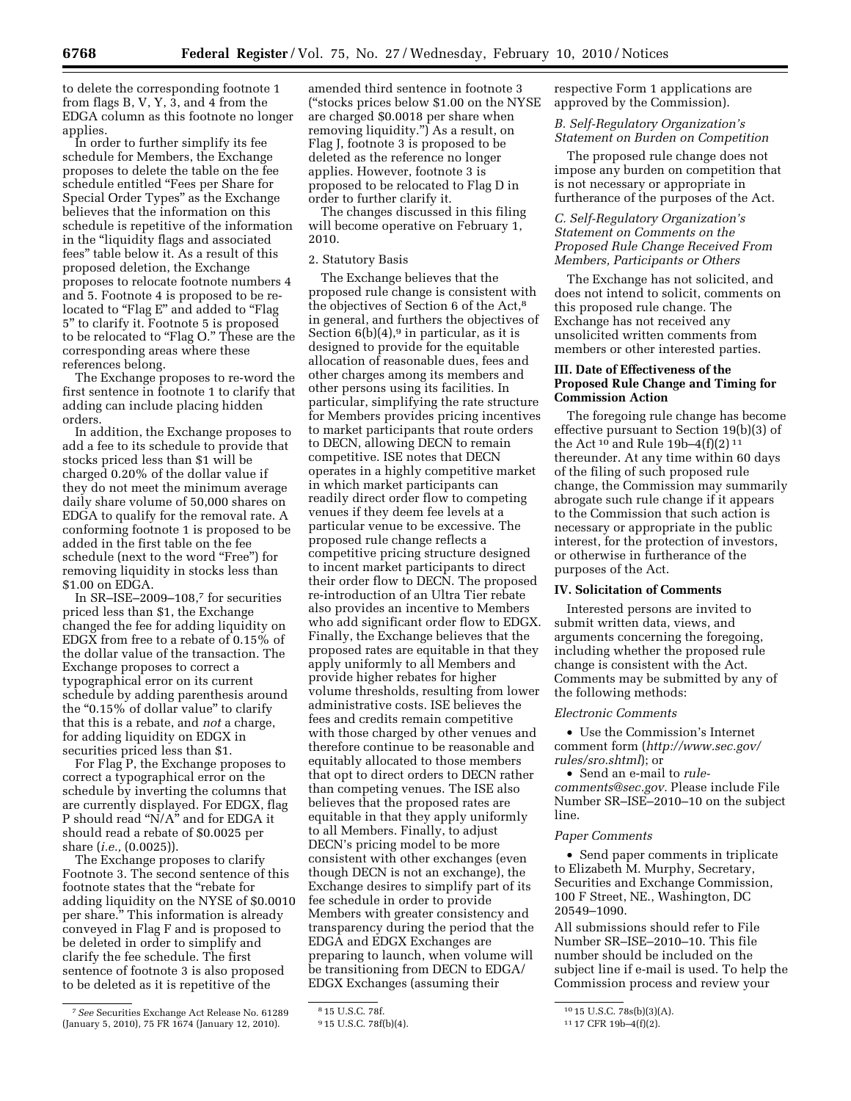to delete the corresponding footnote 1 from flags B, V, Y, 3, and 4 from the EDGA column as this footnote no longer applies.

In order to further simplify its fee schedule for Members, the Exchange proposes to delete the table on the fee schedule entitled ''Fees per Share for Special Order Types'' as the Exchange believes that the information on this schedule is repetitive of the information in the "liquidity flags and associated fees'' table below it. As a result of this proposed deletion, the Exchange proposes to relocate footnote numbers 4 and 5. Footnote 4 is proposed to be relocated to "Flag E" and added to "Flag 5'' to clarify it. Footnote 5 is proposed to be relocated to "Flag O." These are the corresponding areas where these references belong.

The Exchange proposes to re-word the first sentence in footnote 1 to clarify that adding can include placing hidden orders.

In addition, the Exchange proposes to add a fee to its schedule to provide that stocks priced less than \$1 will be charged 0.20% of the dollar value if they do not meet the minimum average daily share volume of 50,000 shares on EDGA to qualify for the removal rate. A conforming footnote 1 is proposed to be added in the first table on the fee schedule (next to the word "Free") for removing liquidity in stocks less than \$1.00 on EDGA.

In SR–ISE–2009–108,7 for securities priced less than \$1, the Exchange changed the fee for adding liquidity on EDGX from free to a rebate of 0.15% of the dollar value of the transaction. The Exchange proposes to correct a typographical error on its current schedule by adding parenthesis around the "0.15% of dollar value" to clarify that this is a rebate, and *not* a charge, for adding liquidity on EDGX in securities priced less than \$1.

For Flag P, the Exchange proposes to correct a typographical error on the schedule by inverting the columns that are currently displayed. For EDGX, flag P should read "N/A" and for EDGA it should read a rebate of \$0.0025 per share (*i.e.,* (0.0025)).

The Exchange proposes to clarify Footnote 3. The second sentence of this footnote states that the ''rebate for adding liquidity on the NYSE of \$0.0010 per share.'' This information is already conveyed in Flag F and is proposed to be deleted in order to simplify and clarify the fee schedule. The first sentence of footnote 3 is also proposed to be deleted as it is repetitive of the

amended third sentence in footnote 3 (''stocks prices below \$1.00 on the NYSE are charged \$0.0018 per share when removing liquidity.'') As a result, on Flag J, footnote 3 is proposed to be deleted as the reference no longer applies. However, footnote 3 is proposed to be relocated to Flag D in order to further clarify it.

The changes discussed in this filing will become operative on February 1, 2010.

## 2. Statutory Basis

The Exchange believes that the proposed rule change is consistent with the objectives of Section 6 of the Act,<sup>8</sup> in general, and furthers the objectives of Section  $6(b)(4)$ ,<sup>9</sup> in particular, as it is designed to provide for the equitable allocation of reasonable dues, fees and other charges among its members and other persons using its facilities. In particular, simplifying the rate structure for Members provides pricing incentives to market participants that route orders to DECN, allowing DECN to remain competitive. ISE notes that DECN operates in a highly competitive market in which market participants can readily direct order flow to competing venues if they deem fee levels at a particular venue to be excessive. The proposed rule change reflects a competitive pricing structure designed to incent market participants to direct their order flow to DECN. The proposed re-introduction of an Ultra Tier rebate also provides an incentive to Members who add significant order flow to EDGX. Finally, the Exchange believes that the proposed rates are equitable in that they apply uniformly to all Members and provide higher rebates for higher volume thresholds, resulting from lower administrative costs. ISE believes the fees and credits remain competitive with those charged by other venues and therefore continue to be reasonable and equitably allocated to those members that opt to direct orders to DECN rather than competing venues. The ISE also believes that the proposed rates are equitable in that they apply uniformly to all Members. Finally, to adjust DECN's pricing model to be more consistent with other exchanges (even though DECN is not an exchange), the Exchange desires to simplify part of its fee schedule in order to provide Members with greater consistency and transparency during the period that the EDGA and EDGX Exchanges are preparing to launch, when volume will be transitioning from DECN to EDGA/ EDGX Exchanges (assuming their

respective Form 1 applications are approved by the Commission).

# *B. Self-Regulatory Organization's Statement on Burden on Competition*

The proposed rule change does not impose any burden on competition that is not necessary or appropriate in furtherance of the purposes of the Act.

# *C. Self-Regulatory Organization's Statement on Comments on the Proposed Rule Change Received From Members, Participants or Others*

The Exchange has not solicited, and does not intend to solicit, comments on this proposed rule change. The Exchange has not received any unsolicited written comments from members or other interested parties.

# **III. Date of Effectiveness of the Proposed Rule Change and Timing for Commission Action**

The foregoing rule change has become effective pursuant to Section 19(b)(3) of the Act  $10$  and Rule 19b-4(f)(2)  $11$ thereunder. At any time within 60 days of the filing of such proposed rule change, the Commission may summarily abrogate such rule change if it appears to the Commission that such action is necessary or appropriate in the public interest, for the protection of investors, or otherwise in furtherance of the purposes of the Act.

## **IV. Solicitation of Comments**

Interested persons are invited to submit written data, views, and arguments concerning the foregoing, including whether the proposed rule change is consistent with the Act. Comments may be submitted by any of the following methods:

#### *Electronic Comments*

• Use the Commission's Internet comment form (*http://www.sec.gov/ rules/sro.shtml*); or

• Send an e-mail to *rulecomments@sec.gov.* Please include File Number SR–ISE–2010–10 on the subject line.

#### *Paper Comments*

• Send paper comments in triplicate to Elizabeth M. Murphy, Secretary, Securities and Exchange Commission, 100 F Street, NE., Washington, DC 20549–1090.

All submissions should refer to File Number SR–ISE–2010–10. This file number should be included on the subject line if e-mail is used. To help the Commission process and review your

<sup>7</sup>*See* Securities Exchange Act Release No. 61289 (January 5, 2010), 75 FR 1674 (January 12, 2010).

<sup>8</sup> 15 U.S.C. 78f.

<sup>9</sup> 15 U.S.C. 78f(b)(4).

<sup>10</sup> 15 U.S.C. 78s(b)(3)(A).

<sup>11</sup> 17 CFR 19b–4(f)(2).